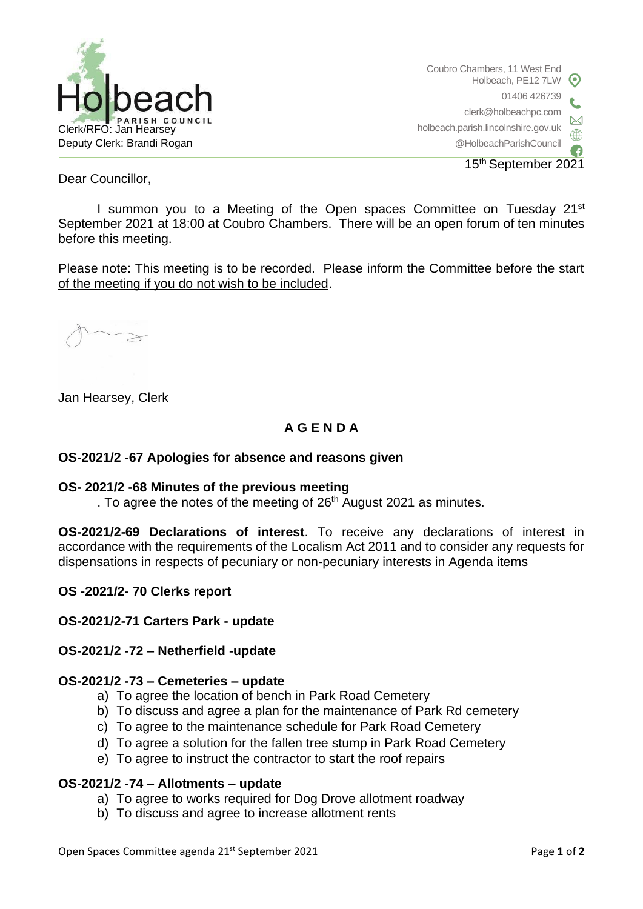

Coubro Chambers, 11 West End Holbeach, PE12 7LW 01406 426739 clerk@holbeachpc.com holbeach.parish.lincolnshire.gov.uk @HolbeachParishCouncil 15th September 2021

Dear Councillor,

I summon you to a Meeting of the Open spaces Committee on Tuesday 21<sup>st</sup> September 2021 at 18:00 at Coubro Chambers. There will be an open forum of ten minutes before this meeting.

Please note: This meeting is to be recorded. Please inform the Committee before the start of the meeting if you do not wish to be included.

Jan Hearsey, Clerk

# **A G E N D A**

### **OS-2021/2 -67 Apologies for absence and reasons given**

#### **OS- 2021/2 -68 Minutes of the previous meeting**

. To agree the notes of the meeting of 26<sup>th</sup> August 2021 as minutes.

**OS-2021/2-69 Declarations of interest**. To receive any declarations of interest in accordance with the requirements of the Localism Act 2011 and to consider any requests for dispensations in respects of pecuniary or non-pecuniary interests in Agenda items

#### **OS -2021/2- 70 Clerks report**

#### **OS-2021/2-71 Carters Park - update**

#### **OS-2021/2 -72 – Netherfield -update**

#### **OS-2021/2 -73 – Cemeteries – update**

- a) To agree the location of bench in Park Road Cemetery
- b) To discuss and agree a plan for the maintenance of Park Rd cemetery
- c) To agree to the maintenance schedule for Park Road Cemetery
- d) To agree a solution for the fallen tree stump in Park Road Cemetery
- e) To agree to instruct the contractor to start the roof repairs

#### **OS-2021/2 -74 – Allotments – update**

- a) To agree to works required for Dog Drove allotment roadway
- b) To discuss and agree to increase allotment rents